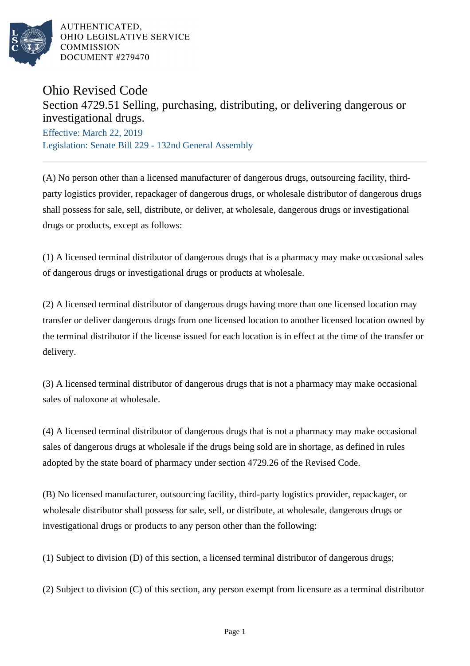

## Ohio Revised Code

## Section 4729.51 Selling, purchasing, distributing, or delivering dangerous or investigational drugs.

Effective: March 22, 2019 Legislation: Senate Bill 229 - 132nd General Assembly

(A) No person other than a licensed manufacturer of dangerous drugs, outsourcing facility, thirdparty logistics provider, repackager of dangerous drugs, or wholesale distributor of dangerous drugs shall possess for sale, sell, distribute, or deliver, at wholesale, dangerous drugs or investigational drugs or products, except as follows:

(1) A licensed terminal distributor of dangerous drugs that is a pharmacy may make occasional sales of dangerous drugs or investigational drugs or products at wholesale.

(2) A licensed terminal distributor of dangerous drugs having more than one licensed location may transfer or deliver dangerous drugs from one licensed location to another licensed location owned by the terminal distributor if the license issued for each location is in effect at the time of the transfer or delivery.

(3) A licensed terminal distributor of dangerous drugs that is not a pharmacy may make occasional sales of naloxone at wholesale.

(4) A licensed terminal distributor of dangerous drugs that is not a pharmacy may make occasional sales of dangerous drugs at wholesale if the drugs being sold are in shortage, as defined in rules adopted by the state board of pharmacy under section 4729.26 of the Revised Code.

(B) No licensed manufacturer, outsourcing facility, third-party logistics provider, repackager, or wholesale distributor shall possess for sale, sell, or distribute, at wholesale, dangerous drugs or investigational drugs or products to any person other than the following:

(1) Subject to division (D) of this section, a licensed terminal distributor of dangerous drugs;

(2) Subject to division (C) of this section, any person exempt from licensure as a terminal distributor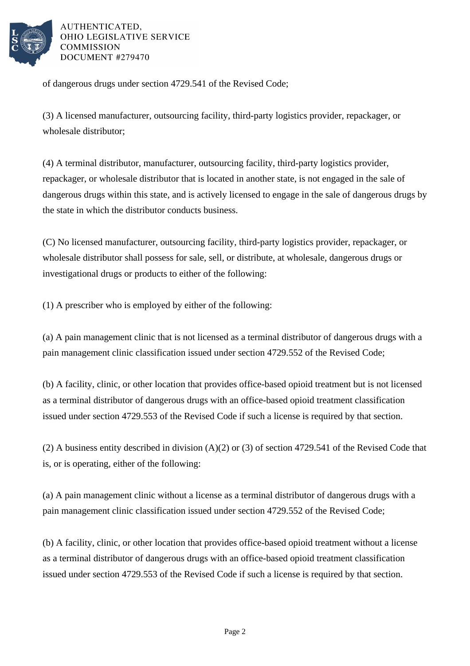

of dangerous drugs under section 4729.541 of the Revised Code;

(3) A licensed manufacturer, outsourcing facility, third-party logistics provider, repackager, or wholesale distributor;

(4) A terminal distributor, manufacturer, outsourcing facility, third-party logistics provider, repackager, or wholesale distributor that is located in another state, is not engaged in the sale of dangerous drugs within this state, and is actively licensed to engage in the sale of dangerous drugs by the state in which the distributor conducts business.

(C) No licensed manufacturer, outsourcing facility, third-party logistics provider, repackager, or wholesale distributor shall possess for sale, sell, or distribute, at wholesale, dangerous drugs or investigational drugs or products to either of the following:

(1) A prescriber who is employed by either of the following:

(a) A pain management clinic that is not licensed as a terminal distributor of dangerous drugs with a pain management clinic classification issued under section 4729.552 of the Revised Code;

(b) A facility, clinic, or other location that provides office-based opioid treatment but is not licensed as a terminal distributor of dangerous drugs with an office-based opioid treatment classification issued under section 4729.553 of the Revised Code if such a license is required by that section.

(2) A business entity described in division (A)(2) or (3) of section 4729.541 of the Revised Code that is, or is operating, either of the following:

(a) A pain management clinic without a license as a terminal distributor of dangerous drugs with a pain management clinic classification issued under section 4729.552 of the Revised Code;

(b) A facility, clinic, or other location that provides office-based opioid treatment without a license as a terminal distributor of dangerous drugs with an office-based opioid treatment classification issued under section 4729.553 of the Revised Code if such a license is required by that section.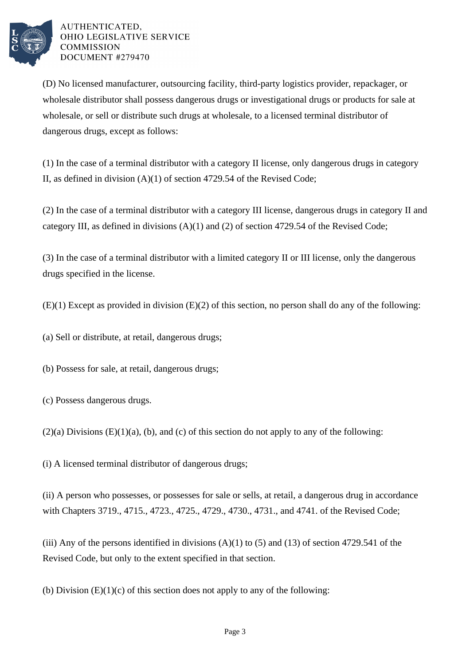

(D) No licensed manufacturer, outsourcing facility, third-party logistics provider, repackager, or wholesale distributor shall possess dangerous drugs or investigational drugs or products for sale at wholesale, or sell or distribute such drugs at wholesale, to a licensed terminal distributor of dangerous drugs, except as follows:

(1) In the case of a terminal distributor with a category II license, only dangerous drugs in category II, as defined in division (A)(1) of section 4729.54 of the Revised Code;

(2) In the case of a terminal distributor with a category III license, dangerous drugs in category II and category III, as defined in divisions (A)(1) and (2) of section 4729.54 of the Revised Code;

(3) In the case of a terminal distributor with a limited category II or III license, only the dangerous drugs specified in the license.

(E)(1) Except as provided in division (E)(2) of this section, no person shall do any of the following:

(a) Sell or distribute, at retail, dangerous drugs;

(b) Possess for sale, at retail, dangerous drugs;

(c) Possess dangerous drugs.

 $(2)(a)$  Divisions  $(E)(1)(a)$ ,  $(b)$ , and  $(c)$  of this section do not apply to any of the following:

(i) A licensed terminal distributor of dangerous drugs;

(ii) A person who possesses, or possesses for sale or sells, at retail, a dangerous drug in accordance with Chapters 3719., 4715., 4723., 4725., 4729., 4730., 4731., and 4741. of the Revised Code;

(iii) Any of the persons identified in divisions  $(A)(1)$  to (5) and (13) of section 4729.541 of the Revised Code, but only to the extent specified in that section.

(b) Division  $(E)(1)(c)$  of this section does not apply to any of the following: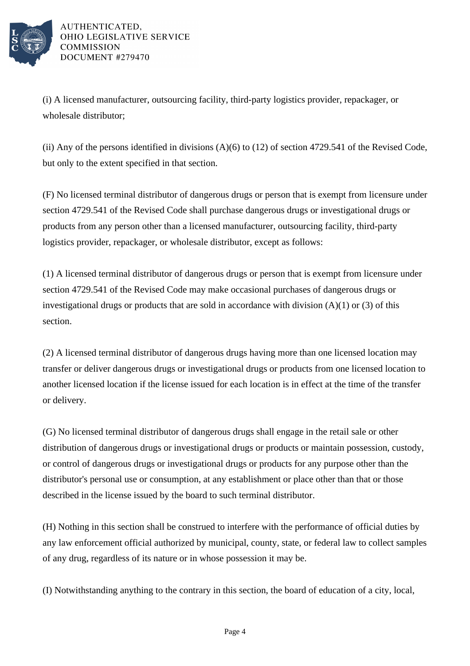

(i) A licensed manufacturer, outsourcing facility, third-party logistics provider, repackager, or wholesale distributor;

(ii) Any of the persons identified in divisions (A)(6) to (12) of section 4729.541 of the Revised Code, but only to the extent specified in that section.

(F) No licensed terminal distributor of dangerous drugs or person that is exempt from licensure under section 4729.541 of the Revised Code shall purchase dangerous drugs or investigational drugs or products from any person other than a licensed manufacturer, outsourcing facility, third-party logistics provider, repackager, or wholesale distributor, except as follows:

(1) A licensed terminal distributor of dangerous drugs or person that is exempt from licensure under section 4729.541 of the Revised Code may make occasional purchases of dangerous drugs or investigational drugs or products that are sold in accordance with division  $(A)(1)$  or  $(3)$  of this section.

(2) A licensed terminal distributor of dangerous drugs having more than one licensed location may transfer or deliver dangerous drugs or investigational drugs or products from one licensed location to another licensed location if the license issued for each location is in effect at the time of the transfer or delivery.

(G) No licensed terminal distributor of dangerous drugs shall engage in the retail sale or other distribution of dangerous drugs or investigational drugs or products or maintain possession, custody, or control of dangerous drugs or investigational drugs or products for any purpose other than the distributor's personal use or consumption, at any establishment or place other than that or those described in the license issued by the board to such terminal distributor.

(H) Nothing in this section shall be construed to interfere with the performance of official duties by any law enforcement official authorized by municipal, county, state, or federal law to collect samples of any drug, regardless of its nature or in whose possession it may be.

(I) Notwithstanding anything to the contrary in this section, the board of education of a city, local,